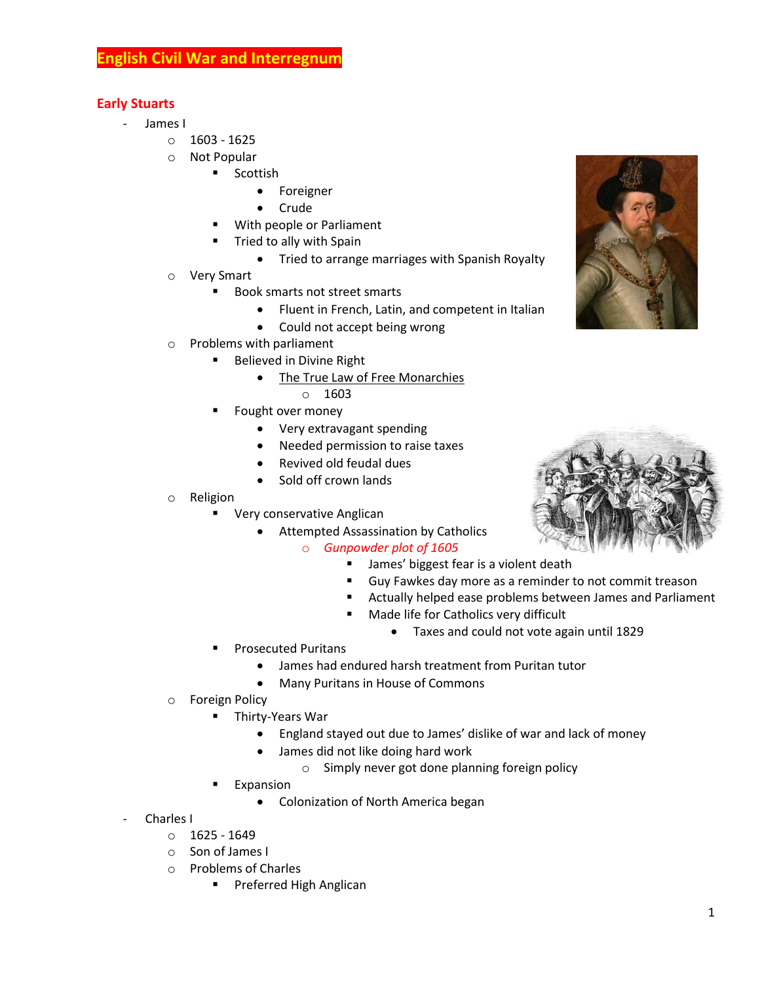# **Early Stuarts**

- James I
	- o 1603 1625
	- o Not Popular
		- **Scottish** 
			- Foreigner
			- Crude
		- With people or Parliament
			- Tried to ally with Spain
				- Tried to arrange marriages with Spanish Royalty
	- o Very Smart
		- Book smarts not street smarts
			- Fluent in French, Latin, and competent in Italian
			- Could not accept being wrong
	- o Problems with parliament
		- **Believed in Divine Right** 
			- The True Law of Free Monarchies
				- $\circ$  1603
			- Fought over money
				- Very extravagant spending
				- Needed permission to raise taxes
				- Revived old feudal dues
				- Sold off crown lands
	- o Religion
		- Very conservative Anglican
			- **•** Attempted Assassination by Catholics
				- o *Gunpowder plot of 1605*
					- **James' biggest fear is a violent death** 
						- Guy Fawkes day more as a reminder to not commit treason
					- Actually helped ease problems between James and Parliament
					- Made life for Catholics very difficult
						- Taxes and could not vote again until 1829
		- Prosecuted Puritans
			- James had endured harsh treatment from Puritan tutor
			- Many Puritans in House of Commons
	- o Foreign Policy
		- **Thirty-Years War** 
			- England stayed out due to James' dislike of war and lack of money
			- James did not like doing hard work
				- o Simply never got done planning foreign policy
		- Expansion
			- Colonization of North America began
- Charles I
	- $O$  1625 1649
	- o Son of James I
	- o Problems of Charles
		- **Preferred High Anglican**



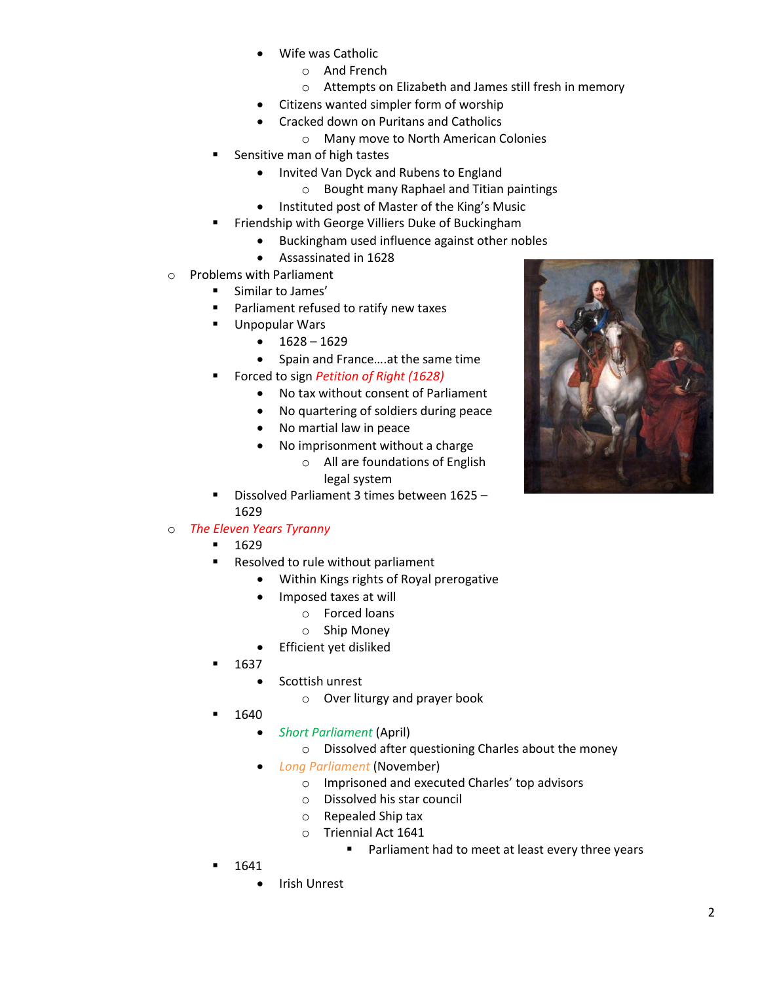- Wife was Catholic
	- o And French
	- o Attempts on Elizabeth and James still fresh in memory
- Citizens wanted simpler form of worship
- Cracked down on Puritans and Catholics
	- o Many move to North American Colonies
- **Sensitive man of high tastes** 
	- Invited Van Dyck and Rubens to England
		- o Bought many Raphael and Titian paintings
	- Instituted post of Master of the King's Music
- Friendship with George Villiers Duke of Buckingham
	- Buckingham used influence against other nobles
		- Assassinated in 1628
- o Problems with Parliament
	- **E** Similar to James'
	- **Parliament refused to ratify new taxes**
	- **Unpopular Wars** 
		- $-1628 1629$
		- Spain and France ... at the same time
	- Forced to sign *Petition of Right (1628)*
		- No tax without consent of Parliament
		- No quartering of soldiers during peace
		- No martial law in peace
		- No imprisonment without a charge
			- o All are foundations of English legal system
	- **Dissolved Parliament 3 times between 1625** 1629

# o *The Eleven Years Tyranny*

- $-1629$
- **Resolved to rule without parliament** 
	- Within Kings rights of Royal prerogative
	- Imposed taxes at will
		- o Forced loans
		- o Ship Money
	- Efficient yet disliked
- $-1637$ 
	- Scottish unrest
		- o Over liturgy and prayer book
- 1640
	- *Short Parliament* (April)
		- o Dissolved after questioning Charles about the money
	- *Long Parliament* (November)
		- o Imprisoned and executed Charles' top advisors
		- o Dissolved his star council
		- o Repealed Ship tax
		- o Triennial Act 1641
			- **Parliament had to meet at least every three years**
- 1641
	- Irish Unrest

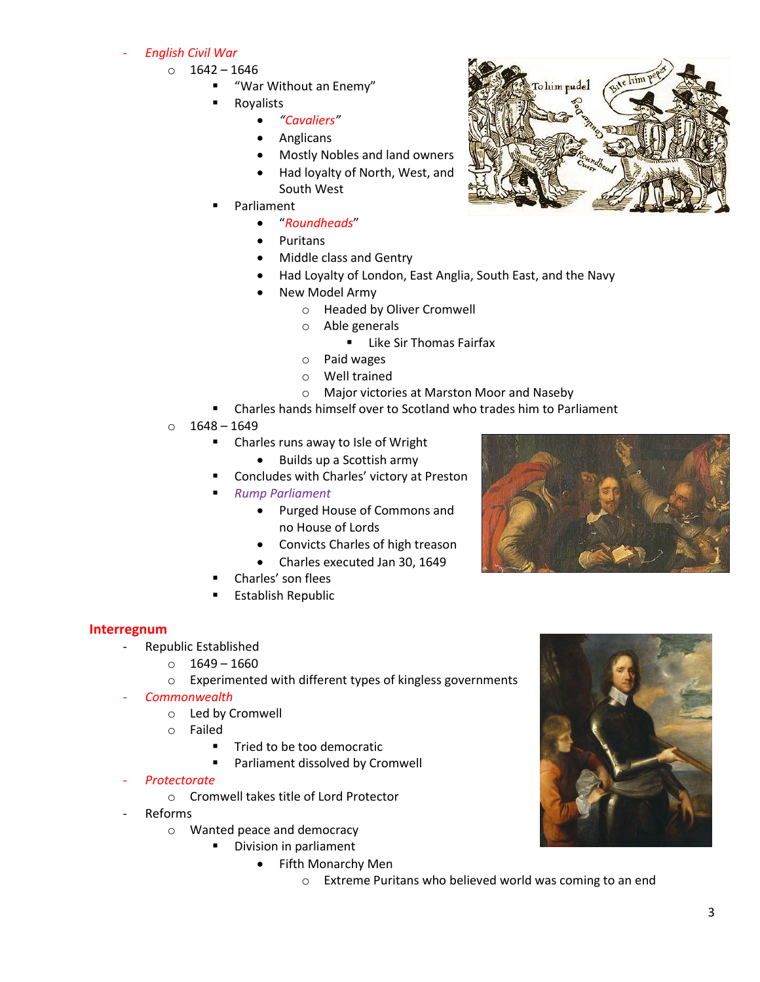#### - *English Civil War*

- o 1642 1646
	- "War Without an Enemy"
	- **Royalists** 
		- *"Cavaliers"*
		- Anglicans
		- Mostly Nobles and land owners
		- Had loyalty of North, West, and South West
	- Parliament
		- "*Roundheads*"
		- Puritans
		- Middle class and Gentry
		- Had Loyalty of London, East Anglia, South East, and the Navy
		- New Model Army
			- o Headed by Oliver Cromwell
			- o Able generals
				- **Like Sir Thomas Fairfax**
			- o Paid wages
			- o Well trained
			- o Major victories at Marston Moor and Naseby
	- Charles hands himself over to Scotland who trades him to Parliament
- $\circ$  1648 1649
	- **E** Charles runs away to Isle of Wright
		- Builds up a Scottish army
	- Concludes with Charles' victory at Preston
	- *Rump Parliament*
		- Purged House of Commons and no House of Lords
		- Convicts Charles of high treason
		- Charles executed Jan 30, 1649
	- Charles' son flees
	- **Establish Republic**

#### **Interregnum**

- Republic Established
	- $0 1649 1660$
	- o Experimented with different types of kingless governments
- *Commonwealth*
	- o Led by Cromwell
	- o Failed
		- **Tried to be too democratic**
		- **Parliament dissolved by Cromwell**
- *Protectorate*
	- o Cromwell takes title of Lord Protector
	- Reforms
		- o Wanted peace and democracy
			- **Division in parliament** 
				- Fifth Monarchy Men
					- o Extreme Puritans who believed world was coming to an end





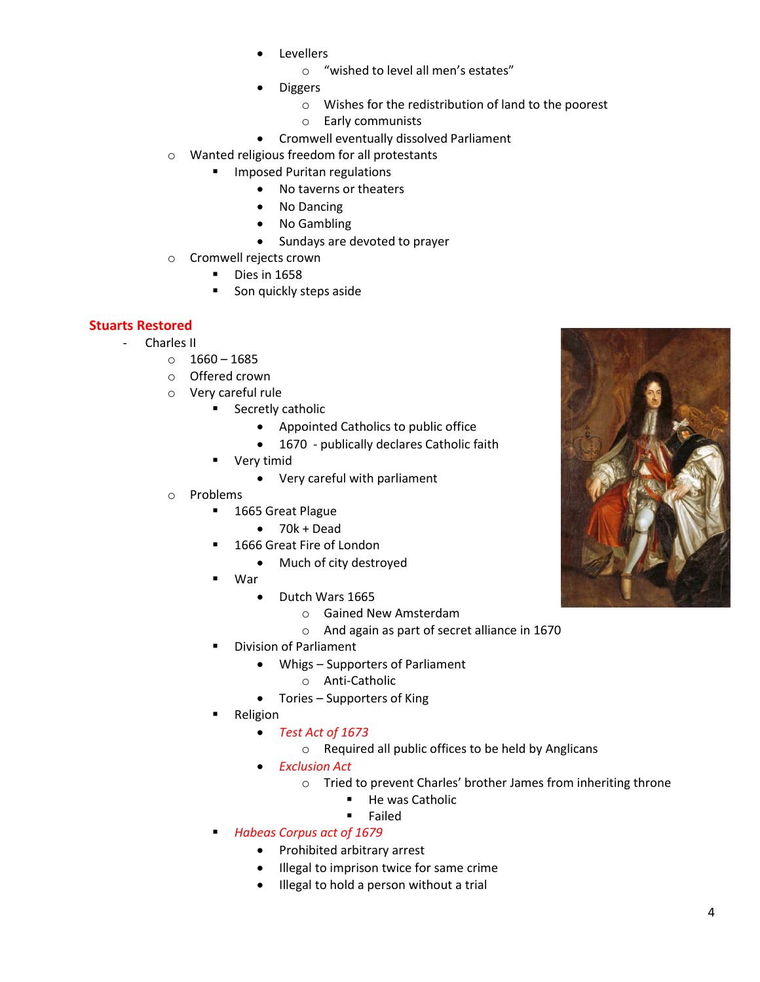- Levellers
	- o "wished to level all men's estates"
- Diggers
	- o Wishes for the redistribution of land to the poorest
	- o Early communists
- Cromwell eventually dissolved Parliament
- o Wanted religious freedom for all protestants
	- **Imposed Puritan regulations** 
		- No taverns or theaters
		- No Dancing
		- No Gambling
		- Sundays are devoted to prayer
- o Cromwell rejects crown
	- Dies in 1658
	- Son quickly steps aside

### **Stuarts Restored**

- Charles II
	- o 1660 1685
	- o Offered crown
	- o Very careful rule
		- **Secretly catholic** 
			- Appointed Catholics to public office
			- 1670 publically declares Catholic faith
		- Very timid
			- Very careful with parliament
	- o Problems
		- **1665 Great Plague** 
			- $\bullet$  70k + Dead
		- 1666 Great Fire of London
			- Much of city destroyed
		- War
			- Dutch Wars 1665
				- o Gained New Amsterdam
				- o And again as part of secret alliance in 1670
		- Division of Parliament
			- Whigs Supporters of Parliament
				- o Anti-Catholic
			- Tories Supporters of King
		- Religion
			- *Test Act of 1673*
				- o Required all public offices to be held by Anglicans
				- *Exclusion Act*
					- o Tried to prevent Charles' brother James from inheriting throne
						- **He was Catholic**
						- **Failed**
		- *Habeas Corpus act of 1679*
			- Prohibited arbitrary arrest
			- $\bullet$  Illegal to imprison twice for same crime
			- Illegal to hold a person without a trial

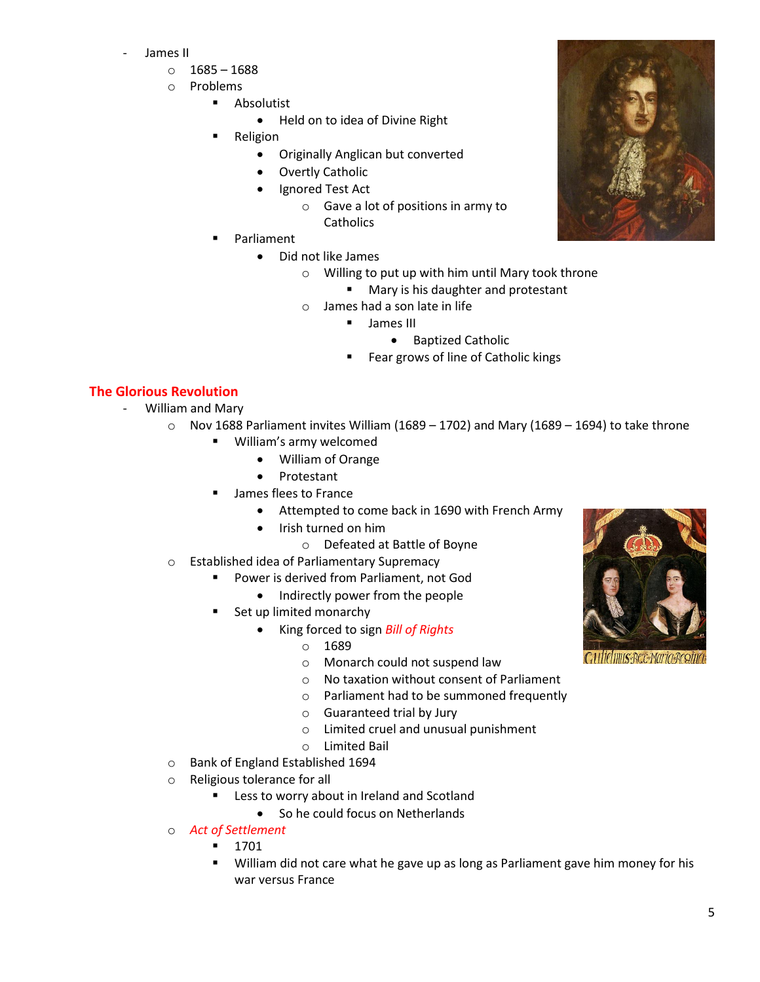- James II
	- o 1685 1688
	- o Problems
		- **Absolutist** 
			- Held on to idea of Divine Right
		- Religion
			- Originally Anglican but converted
			- Overtly Catholic
			- Ignored Test Act
				- o Gave a lot of positions in army to
					- **Catholics**
		- Parliament
			- Did not like James
				- o Willing to put up with him until Mary took throne
					- **Mary is his daughter and protestant**
				- o James had a son late in life
					- **James III** 
						- **•** Baptized Catholic
					- Fear grows of line of Catholic kings

## **The Glorious Revolution**

- William and Mary
	- $\circ$  Nov 1688 Parliament invites William (1689 1702) and Mary (1689 1694) to take throne
		- William's army welcomed
			- William of Orange
			- Protestant
		- **James flees to France** 
			- Attempted to come back in 1690 with French Army
			- Irish turned on him
				- o Defeated at Battle of Boyne
		- o Established idea of Parliamentary Supremacy
			- **Power is derived from Parliament, not God** 
				- Indirectly power from the people
			- Set up limited monarchy
				- King forced to sign *Bill of Rights*
					- o 1689
						- o Monarch could not suspend law
						- o No taxation without consent of Parliament
						- o Parliament had to be summoned frequently
						- o Guaranteed trial by Jury
						- o Limited cruel and unusual punishment
						- o Limited Bail
		- o Bank of England Established 1694
		- o Religious tolerance for all
			- **EXTERG** Less to worry about in Ireland and Scotland
				- So he could focus on Netherlands
		- o *Act of Settlement*
			- $-1701$
			- William did not care what he gave up as long as Parliament gave him money for his war versus France